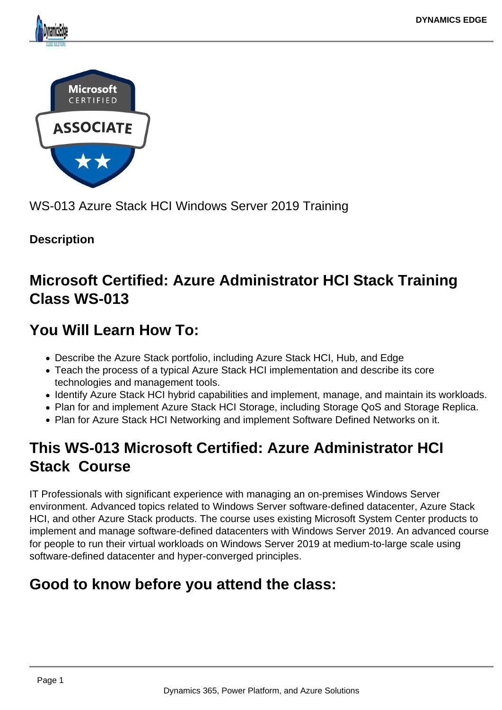



WS-013 Azure Stack HCI Windows Server 2019 Training

## **Description**

# **Microsoft Certified: Azure Administrator HCI Stack Training Class WS-013**

# **You Will Learn How To:**

- Describe the Azure Stack portfolio, including Azure Stack HCI, Hub, and Edge
- Teach the process of a typical Azure Stack HCI implementation and describe its core technologies and management tools.
- Identify Azure Stack HCI hybrid capabilities and implement, manage, and maintain its workloads.
- Plan for and implement Azure Stack HCI Storage, including Storage QoS and Storage Replica.
- Plan for Azure Stack HCI Networking and implement Software Defined Networks on it.

# **This WS-013 Microsoft Certified: Azure Administrator HCI Stack Course**

IT Professionals with significant experience with managing an on-premises Windows Server environment. Advanced topics related to Windows Server software-defined datacenter, Azure Stack HCI, and other Azure Stack products. The course uses existing Microsoft System Center products to implement and manage software-defined datacenters with Windows Server 2019. An advanced course for people to run their virtual workloads on Windows Server 2019 at medium-to-large scale using software-defined datacenter and hyper-converged principles.

# **Good to know before you attend the class:**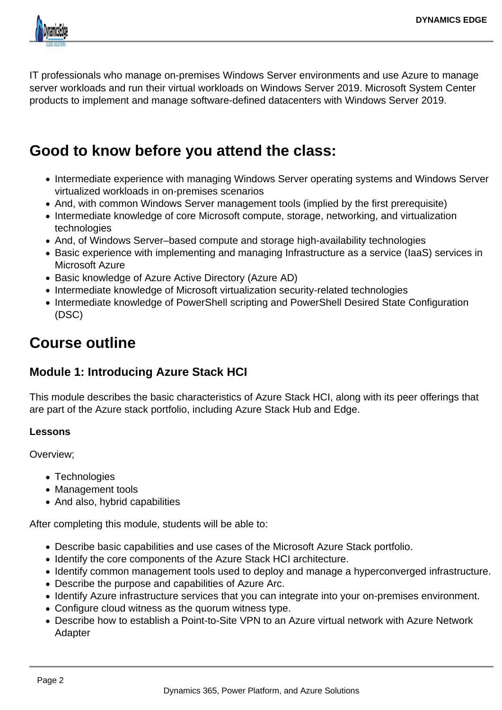

IT professionals who manage on-premises Windows Server environments and use Azure to manage server workloads and run their virtual workloads on Windows Server 2019. Microsoft System Center products to implement and manage software-defined datacenters with Windows Server 2019.

## **Good to know before you attend the class:**

- Intermediate experience with managing Windows Server operating systems and Windows Server virtualized workloads in on-premises scenarios
- And, with common Windows Server management tools (implied by the first prerequisite)
- Intermediate knowledge of core Microsoft compute, storage, networking, and virtualization technologies
- And, of Windows Server–based compute and storage high-availability technologies
- Basic experience with implementing and managing Infrastructure as a service (IaaS) services in Microsoft Azure
- Basic knowledge of Azure Active Directory (Azure AD)
- Intermediate knowledge of Microsoft virtualization security-related technologies
- Intermediate knowledge of PowerShell scripting and PowerShell Desired State Configuration (DSC)

# **Course outline**

## **Module 1: Introducing Azure Stack HCI**

This module describes the basic characteristics of Azure Stack HCI, along with its peer offerings that are part of the Azure stack portfolio, including Azure Stack Hub and Edge.

#### **Lessons**

Overview;

- Technologies
- Management tools
- And also, hybrid capabilities

After completing this module, students will be able to:

- Describe basic capabilities and use cases of the Microsoft Azure Stack portfolio.
- Identify the core components of the Azure Stack HCI architecture.
- Identify common management tools used to deploy and manage a hyperconverged infrastructure.
- Describe the purpose and capabilities of Azure Arc.
- Identify Azure infrastructure services that you can integrate into your on-premises environment.
- Configure cloud witness as the quorum witness type.
- Describe how to establish a Point-to-Site VPN to an Azure virtual network with Azure Network Adapter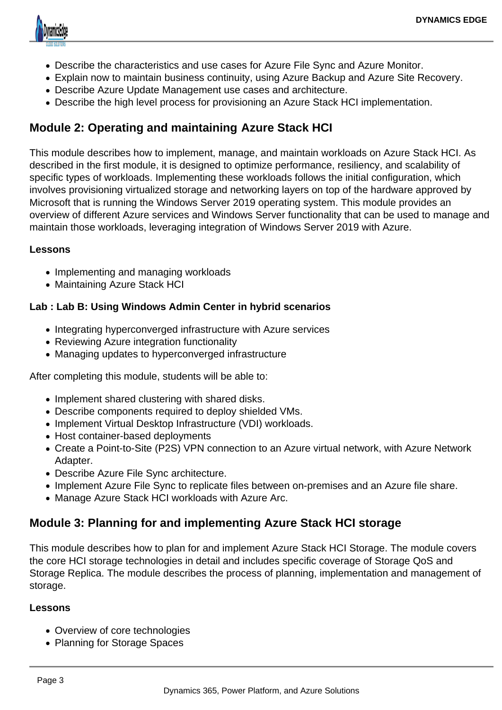

- Describe the characteristics and use cases for Azure File Sync and Azure Monitor.
- Explain now to maintain business continuity, using Azure Backup and Azure Site Recovery.
- Describe Azure Update Management use cases and architecture.
- Describe the high level process for provisioning an Azure Stack HCI implementation.

## **Module 2: Operating and maintaining Azure Stack HCI**

This module describes how to implement, manage, and maintain workloads on Azure Stack HCI. As described in the first module, it is designed to optimize performance, resiliency, and scalability of specific types of workloads. Implementing these workloads follows the initial configuration, which involves provisioning virtualized storage and networking layers on top of the hardware approved by Microsoft that is running the Windows Server 2019 operating system. This module provides an overview of different Azure services and Windows Server functionality that can be used to manage and maintain those workloads, leveraging integration of Windows Server 2019 with Azure.

#### **Lessons**

- Implementing and managing workloads
- Maintaining Azure Stack HCI

#### **Lab : Lab B: Using Windows Admin Center in hybrid scenarios**

- Integrating hyperconverged infrastructure with Azure services
- Reviewing Azure integration functionality
- Managing updates to hyperconverged infrastructure

After completing this module, students will be able to:

- Implement shared clustering with shared disks.
- Describe components required to deploy shielded VMs.
- Implement Virtual Desktop Infrastructure (VDI) workloads.
- Host container-based deployments
- Create a Point-to-Site (P2S) VPN connection to an Azure virtual network, with Azure Network Adapter.
- Describe Azure File Sync architecture.
- Implement Azure File Sync to replicate files between on-premises and an Azure file share.
- Manage Azure Stack HCI workloads with Azure Arc.

## **Module 3: Planning for and implementing Azure Stack HCI storage**

This module describes how to plan for and implement Azure Stack HCI Storage. The module covers the core HCI storage technologies in detail and includes specific coverage of Storage QoS and Storage Replica. The module describes the process of planning, implementation and management of storage.

#### **Lessons**

- Overview of core technologies
- Planning for Storage Spaces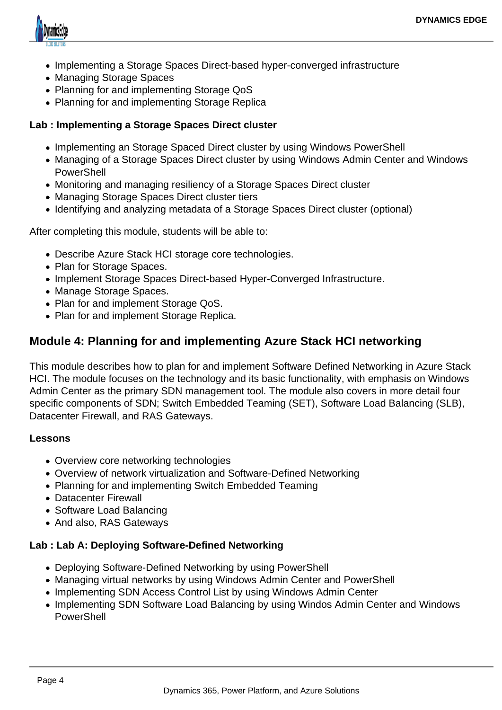

- Implementing a Storage Spaces Direct-based hyper-converged infrastructure
- Managing Storage Spaces
- Planning for and implementing Storage QoS
- Planning for and implementing Storage Replica

#### **Lab : Implementing a Storage Spaces Direct cluster**

- Implementing an Storage Spaced Direct cluster by using Windows PowerShell
- Managing of a Storage Spaces Direct cluster by using Windows Admin Center and Windows **PowerShell**
- Monitoring and managing resiliency of a Storage Spaces Direct cluster
- Managing Storage Spaces Direct cluster tiers
- Identifying and analyzing metadata of a Storage Spaces Direct cluster (optional)

After completing this module, students will be able to:

- Describe Azure Stack HCI storage core technologies.
- Plan for Storage Spaces.
- Implement Storage Spaces Direct-based Hyper-Converged Infrastructure.
- Manage Storage Spaces.
- Plan for and implement Storage QoS.
- Plan for and implement Storage Replica.

#### **Module 4: Planning for and implementing Azure Stack HCI networking**

This module describes how to plan for and implement Software Defined Networking in Azure Stack HCI. The module focuses on the technology and its basic functionality, with emphasis on Windows Admin Center as the primary SDN management tool. The module also covers in more detail four specific components of SDN; Switch Embedded Teaming (SET), Software Load Balancing (SLB), Datacenter Firewall, and RAS Gateways.

#### **Lessons**

- Overview core networking technologies
- Overview of network virtualization and Software-Defined Networking
- Planning for and implementing Switch Embedded Teaming
- Datacenter Firewall
- Software Load Balancing
- And also, RAS Gateways

#### **Lab : Lab A: Deploying Software-Defined Networking**

- Deploying Software-Defined Networking by using PowerShell
- Managing virtual networks by using Windows Admin Center and PowerShell
- Implementing SDN Access Control List by using Windows Admin Center
- Implementing SDN Software Load Balancing by using Windos Admin Center and Windows **PowerShell**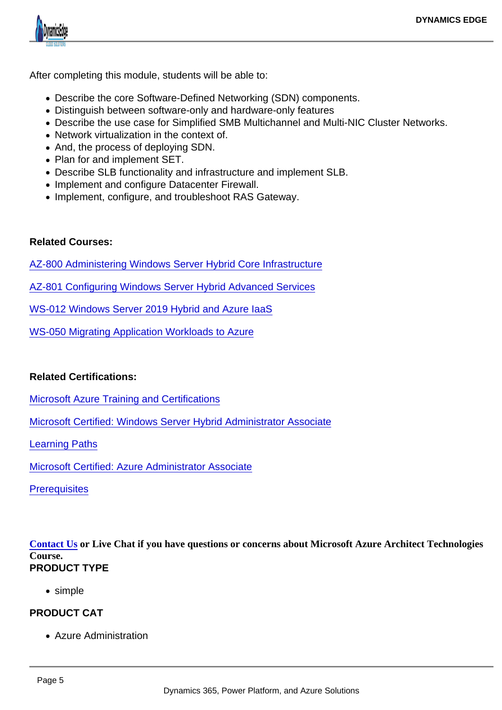After completing this module, students will be able to:

- Describe the core Software-Defined Networking (SDN) components.
- Distinguish between software-only and hardware-only features
- Describe the use case for Simplified SMB Multichannel and Multi-NIC Cluster Networks.
- Network virtualization in the context of.
- And, the process of deploying SDN.
- Plan for and implement SET.
- Describe SLB functionality and infrastructure and implement SLB.
- Implement and configure Datacenter Firewall.
- Implement, configure, and troubleshoot RAS Gateway.

#### Related Courses:

[AZ-800 Administering Windows Server Hybrid Core Infrastructure](https://www.dynamicsedge.com/product/administering-windows-server-hybrid-core-infrastructure-az-800/)

[AZ-801 Configuring Windows Server Hybrid Advanced Services](https://www.dynamicsedge.com/product/configuring-windows-server-hybrid-advanced-services-az-801/)

[WS-012 Windows Server 2019 Hybrid and Azure IaaS](https://www.dynamicsedge.com/product/windows-server-2019-hybrid-and-azure-iaas-course-ws-012/)

[WS-050 Migrating Application Workloads to Azure](https://www.dynamicsedge.com/product/ws-050-migrating-application-workloads-to-azure/)

Related Certifications:

[Microsoft Azure Training and Certifications](https://query.prod.cms.rt.microsoft.com/cms/api/am/binary/RE4J5ea)

[Microsoft Certified: Windows Server Hybrid Administrator Associate](https://docs.microsoft.com/en-us/learn/certifications/windows-server-hybrid-administrator/)

[Learning Paths](https://docs.microsoft.com/en-us/learn/paths/deploy-manage-identity-infrastructure/)

[Microsoft Certified: Azure Administrator Associate](https://docs.microsoft.com/en-us/learn/certifications/azure-administrator/)

**[Prerequisites](https://docs.microsoft.com/en-us/learn/paths/az-104-administrator-prerequisites/)** 

[Contact Us](https://staging-dynamicsedgeseo.kinsta.cloud/contact) or Live Chat if you have questions or concerns about Microsoft Azure Architect Technologies Course. PRODUCT TYPE

• simple

PRODUCT CAT

Azure Administration